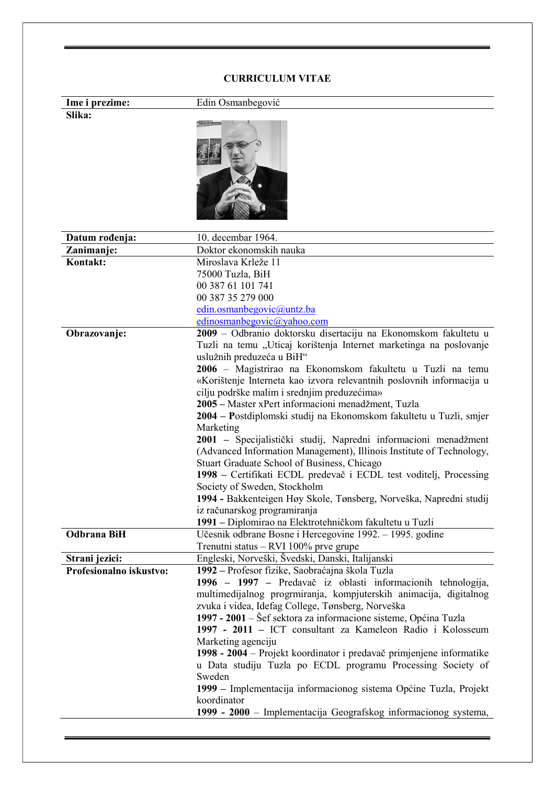## CURRICULUM VITAE

| Ime i prezime:          | Edin Osmanbegović                                                                                                                                                                                                                                                                                                                                       |
|-------------------------|---------------------------------------------------------------------------------------------------------------------------------------------------------------------------------------------------------------------------------------------------------------------------------------------------------------------------------------------------------|
| Slika:                  |                                                                                                                                                                                                                                                                                                                                                         |
|                         |                                                                                                                                                                                                                                                                                                                                                         |
| Datum rođenja:          | 10. decembar 1964.                                                                                                                                                                                                                                                                                                                                      |
| Zanimanje:              | Doktor ekonomskih nauka                                                                                                                                                                                                                                                                                                                                 |
| Kontakt:                | Miroslava Krleže 11<br>75000 Tuzla, BiH<br>00 387 61 101 741<br>00 387 35 279 000                                                                                                                                                                                                                                                                       |
|                         | edin.osmanbegovic@untz.ba                                                                                                                                                                                                                                                                                                                               |
|                         | edinosmanbegovic@yahoo.com                                                                                                                                                                                                                                                                                                                              |
| Obrazovanje:            | 2009 - Odbranio doktorsku disertaciju na Ekonomskom fakultetu u<br>Tuzli na temu "Uticaj korištenja Internet marketinga na poslovanje<br>uslužnih preduzeća u BiH"<br>2006 – Magistrirao na Ekonomskom fakultetu u Tuzli na temu<br>«Korištenje Interneta kao izvora relevantnih poslovnih informacija u<br>cilju podrške malim i srednjim preduzećima» |
|                         | 2005 – Master xPert informacioni menadžment, Tuzla<br>2004 – Postdiplomski studij na Ekonomskom fakultetu u Tuzli, smjer<br>Marketing<br>2001 - Specijalistički studij, Napredni informacioni menadžment                                                                                                                                                |
|                         | (Advanced Information Management), Illinois Institute of Technology,<br>Stuart Graduate School of Business, Chicago<br>1998 – Certifikati ECDL predevač i ECDL test voditelj, Processing<br>Society of Sweden, Stockholm                                                                                                                                |
|                         | 1994 - Bakkenteigen Høy Skole, Tønsberg, Norveška, Napredni studij<br>iz računarskog programiranja                                                                                                                                                                                                                                                      |
|                         | 1991 – Diplomirao na Elektrotehničkom fakultetu u Tuzli                                                                                                                                                                                                                                                                                                 |
| <b>Odbrana BiH</b>      | Učesnik odbrane Bosne i Hercegovine 1992. – 1995. godine<br>Trenutni status - RVI 100% prve grupe                                                                                                                                                                                                                                                       |
| Strani jezici:          | Engleski, Norveški, Švedski, Danski, Italijanski                                                                                                                                                                                                                                                                                                        |
| Profesionalno iskustvo: | 1992 - Profesor fizike, Saobraćajna škola Tuzla<br>1996 – 1997 – Predavač iz oblasti informacionih tehnologija,<br>multimedijalnog progrmiranja, kompjuterskih animacija, digitalnog<br>zvuka i videa, Idefag College, Tønsberg, Norveška                                                                                                               |
|                         | 1997 - 2001 – Šef sektora za informacione sisteme, Općina Tuzla<br>1997 - 2011 - ICT consultant za Kameleon Radio i Kolosseum<br>Marketing agenciju<br>1998 - 2004 – Projekt koordinator i predavač primjenjene informatike<br>u Data studiju Tuzla po ECDL programu Processing Society of                                                              |
|                         | Sweden<br>1999 – Implementacija informacionog sistema Općine Tuzla, Projekt<br>koordinator<br>1999 - 2000 - Implementacija Geografskog informacionog systema,                                                                                                                                                                                           |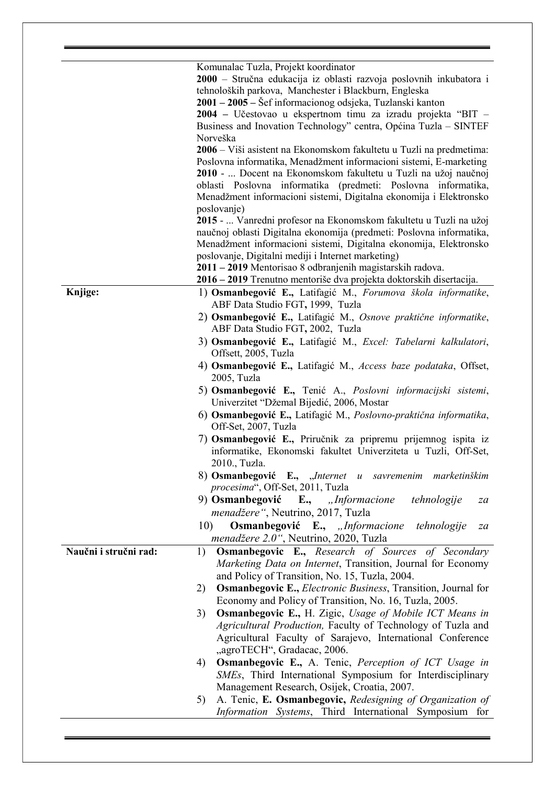|                       | Komunalac Tuzla, Projekt koordinator                                                                       |
|-----------------------|------------------------------------------------------------------------------------------------------------|
|                       | 2000 - Stručna edukacija iz oblasti razvoja poslovnih inkubatora i                                         |
|                       | tehnoloških parkova, Manchester i Blackburn, Engleska                                                      |
|                       | 2001 – 2005 – Šef informacionog odsjeka, Tuzlanski kanton                                                  |
|                       | 2004 – Učestovao u ekspertnom timu za izradu projekta "BIT –                                               |
|                       | Business and Inovation Technology" centra, Općina Tuzla – SINTEF                                           |
|                       | Norveška                                                                                                   |
|                       | 2006 – Viši asistent na Ekonomskom fakultetu u Tuzli na predmetima:                                        |
|                       | Poslovna informatika, Menadžment informacioni sistemi, E-marketing                                         |
|                       | 2010 -  Docent na Ekonomskom fakultetu u Tuzli na užoj naučnoj                                             |
|                       | oblasti Poslovna informatika (predmeti: Poslovna informatika,                                              |
|                       | Menadžment informacioni sistemi, Digitalna ekonomija i Elektronsko<br>poslovanje)                          |
|                       | 2015 -  Vanredni profesor na Ekonomskom fakultetu u Tuzli na užoj                                          |
|                       | naučnoj oblasti Digitalna ekonomija (predmeti: Poslovna informatika,                                       |
|                       | Menadžment informacioni sistemi, Digitalna ekonomija, Elektronsko                                          |
|                       | poslovanje, Digitalni mediji i Internet marketing)                                                         |
|                       | 2011 – 2019 Mentorisao 8 odbranjenih magistarskih radova.                                                  |
|                       | 2016 – 2019 Trenutno mentoriše dva projekta doktorskih disertacija.                                        |
| Knjige:               | 1) Osmanbegović E., Latifagić M., Forumova škola informatike,<br>ABF Data Studio FGT, 1999, Tuzla          |
|                       | 2) Osmanbegović E., Latifagić M., Osnove praktične informatike,<br>ABF Data Studio FGT, 2002, Tuzla        |
|                       | 3) Osmanbegović E., Latifagić M., Excel: Tabelarni kalkulatori,                                            |
|                       | Offsett, 2005, Tuzla                                                                                       |
|                       | 4) Osmanbegović E., Latifagić M., Access baze podataka, Offset,<br>2005, Tuzla                             |
|                       | 5) Osmanbegović E., Tenić A., Poslovni informacijski sistemi,<br>Univerzitet "Džemal Bijedić, 2006, Mostar |
|                       | 6) Osmanbegović E., Latifagić M., Poslovno-praktična informatika,<br>Off-Set, 2007, Tuzla                  |
|                       | 7) Osmanbegović E., Priručnik za pripremu prijemnog ispita iz                                              |
|                       | informatike, Ekonomski fakultet Univerziteta u Tuzli, Off-Set,<br>2010., Tuzla.                            |
|                       | 8) Osmanbegović E., "Internet u savremenim marketinškim<br>procesima", Off-Set, 2011, Tuzla                |
|                       | 9) Osmanbegović E., "Informacione<br>tehnologije<br>za                                                     |
|                       | menadžere", Neutrino, 2017, Tuzla                                                                          |
|                       | 10)<br>Osmanbegović E., "Informacione<br>tehnologije<br>za                                                 |
|                       | menadžere 2.0", Neutrino, 2020, Tuzla                                                                      |
| Naučni i stručni rad: | <b>Osmanbegovic E.,</b> Research of Sources of Secondary<br>1)                                             |
|                       | Marketing Data on Internet, Transition, Journal for Economy                                                |
|                       | and Policy of Transition, No. 15, Tuzla, 2004.                                                             |
|                       | <b>Osmanbegovic E., Electronic Business, Transition, Journal for</b><br>2)                                 |
|                       | Economy and Policy of Transition, No. 16, Tuzla, 2005.                                                     |
|                       |                                                                                                            |
|                       | <b>Osmanbegovic E., H. Zigic, Usage of Mobile ICT Means in</b><br>3)                                       |
|                       | Agricultural Production, Faculty of Technology of Tuzla and                                                |
|                       | Agricultural Faculty of Sarajevo, International Conference                                                 |
|                       | "agroTECH", Gradacac, 2006.                                                                                |
|                       | <b>Osmanbegovic E., A. Tenic, Perception of ICT Usage in</b><br>4)                                         |
|                       | SMEs, Third International Symposium for Interdisciplinary                                                  |
|                       | Management Research, Osijek, Croatia, 2007.                                                                |
|                       | A. Tenic, E. Osmanbegovic, Redesigning of Organization of<br>5)                                            |
|                       | Information Systems, Third International Symposium for                                                     |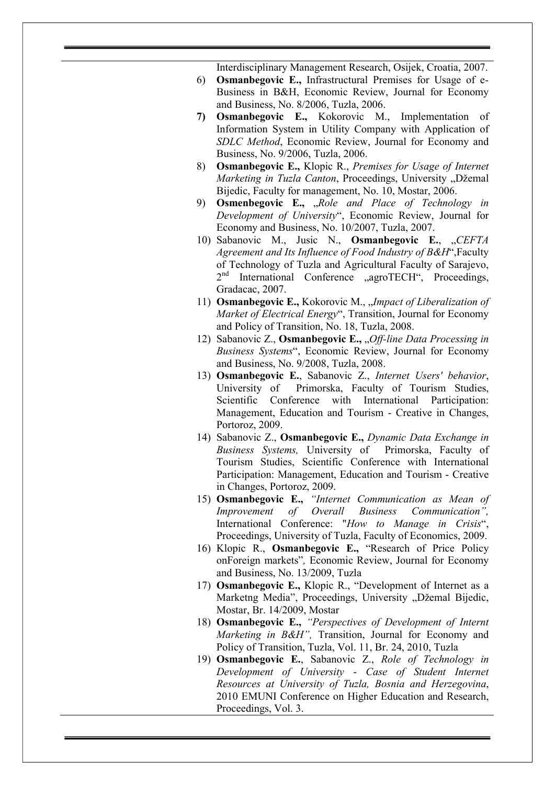Interdisciplinary Management Research, Osijek, Croatia, 2007.

- 6) Osmanbegovic E., Infrastructural Premises for Usage of e-Business in B&H, Economic Review, Journal for Economy and Business, No. 8/2006, Tuzla, 2006.
- 7) Osmanbegovic E., Kokorovic M., Implementation of Information System in Utility Company with Application of SDLC Method, Economic Review, Journal for Economy and Business, No. 9/2006, Tuzla, 2006.
- 8) Osmanbegovic E., Klopic R., Premises for Usage of Internet Marketing in Tuzla Canton, Proceedings, University "Džemal Bijedic, Faculty for management, No. 10, Mostar, 2006.
- 9) **Osmenbegovic E.,** "Role and Place of Technology in Development of University", Economic Review, Journal for Economy and Business, No. 10/2007, Tuzla, 2007.
- 10) Sabanovic M., Jusic N., Osmanbegovic E., "CEFTA Agreement and Its Influence of Food Industry of B&H",Faculty of Technology of Tuzla and Agricultural Faculty of Sarajevo, 2<sup>nd</sup> International Conference "agroTECH", Proceedings, Gradacac, 2007.
- 11) **Osmanbegovic E.,** Kokorovic M., "*Impact of Liberalization of* Market of Electrical Energy", Transition, Journal for Economy and Policy of Transition, No. 18, Tuzla, 2008.
- 12) Sabanovic Z., Osmanbegovic E., "Off-line Data Processing in Business Systems", Economic Review, Journal for Economy and Business, No. 9/2008, Tuzla, 2008.
- 13) Osmanbegovic E., Sabanovic Z., Internet Users' behavior, University of Primorska, Faculty of Tourism Studies, Scientific Conference with International Participation: Management, Education and Tourism - Creative in Changes, Portoroz, 2009.
- 14) Sabanovic Z., Osmanbegovic E., Dynamic Data Exchange in Business Systems, University of Primorska, Faculty of Tourism Studies, Scientific Conference with International Participation: Management, Education and Tourism - Creative in Changes, Portoroz, 2009.
- 15) Osmanbegovic E., "Internet Communication as Mean of Improvement of Overall Business Communication", International Conference: "How to Manage in Crisis", Proceedings, University of Tuzla, Faculty of Economics, 2009.
- 16) Klopic R., Osmanbegovic E., "Research of Price Policy onForeign markets", Economic Review, Journal for Economy and Business, No. 13/2009, Tuzla
- 17) Osmanbegovic E., Klopic R., "Development of Internet as a Marketng Media", Proceedings, University "Džemal Bijedic, Mostar, Br. 14/2009, Mostar
- 18) Osmanbegovic E., "Perspectives of Development of Internt Marketing in B&H", Transition, Journal for Economy and Policy of Transition, Tuzla, Vol. 11, Br. 24, 2010, Tuzla
- 19) Osmanbegovic E., Sabanovic Z., Role of Technology in Development of University - Case of Student Internet Resources at University of Tuzla, Bosnia and Herzegovina, 2010 EMUNI Conference on Higher Education and Research, Proceedings, Vol. 3.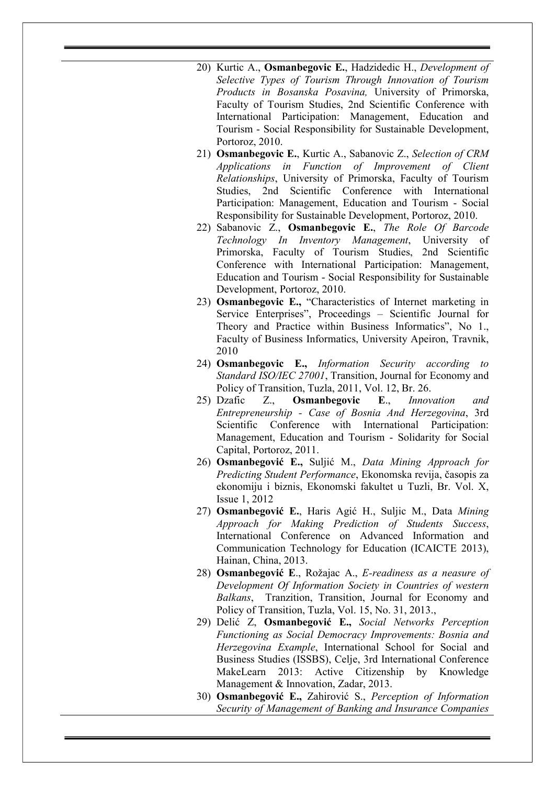- 20) Kurtic A., **Osmanbegovic E.**, Hadzidedic H., *Development of* Selective Types of Tourism Through Innovation of Tourism Products in Bosanska Posavina, University of Primorska, Faculty of Tourism Studies, 2nd Scientific Conference with International Participation: Management, Education and Tourism - Social Responsibility for Sustainable Development, Portoroz, 2010.
- 21) **Osmanbegovic E.**, Kurtic A., Sabanovic Z., Selection of CRM Applications in Function of Improvement of Client Relationships, University of Primorska, Faculty of Tourism Studies, 2nd Scientific Conference with International Participation: Management, Education and Tourism - Social Responsibility for Sustainable Development, Portoroz, 2010.
- 22) Sabanovic Z., Osmanbegovic E., The Role Of Barcode Technology In Inventory Management, University of Primorska, Faculty of Tourism Studies, 2nd Scientific Conference with International Participation: Management, Education and Tourism - Social Responsibility for Sustainable Development, Portoroz, 2010.
- 23) Osmanbegovic E., "Characteristics of Internet marketing in Service Enterprises", Proceedings – Scientific Journal for Theory and Practice within Business Informatics", No 1., Faculty of Business Informatics, University Apeiron, Travnik, 2010
- 24) Osmanbegovic E., Information Security according to Standard ISO/IEC 27001, Transition, Journal for Economy and Policy of Transition, Tuzla, 2011, Vol. 12, Br. 26.
- 25) Dzafic Z., Osmanbegovic E., Innovation and Entrepreneurship - Case of Bosnia And Herzegovina, 3rd Scientific Conference with International Participation: Management, Education and Tourism - Solidarity for Social Capital, Portoroz, 2011.
- 26) Osmanbegović E., Suljić M., Data Mining Approach for Predicting Student Performance, Ekonomska revija, časopis za ekonomiju i biznis, Ekonomski fakultet u Tuzli, Br. Vol. X, Issue 1, 2012
- 27) Osmanbegović E., Haris Agić H., Suljic M., Data Mining Approach for Making Prediction of Students Success, International Conference on Advanced Information and Communication Technology for Education (ICAICTE 2013), Hainan, China, 2013.
- 28) Osmanbegović E., Rožajac A., E-readiness as a neasure of Development Of Information Society in Countries of western Balkans, Tranzition, Transition, Journal for Economy and Policy of Transition, Tuzla, Vol. 15, No. 31, 2013.,
- 29) Delić Z, Osmanbegović E., Social Networks Perception Functioning as Social Democracy Improvements: Bosnia and Herzegovina Example, International School for Social and Business Studies (ISSBS), Celje, 3rd International Conference MakeLearn 2013: Active Citizenship by Knowledge Management & Innovation, Zadar, 2013.
- 30) Osmanbegović E., Zahirović S., Perception of Information Security of Management of Banking and Insurance Companies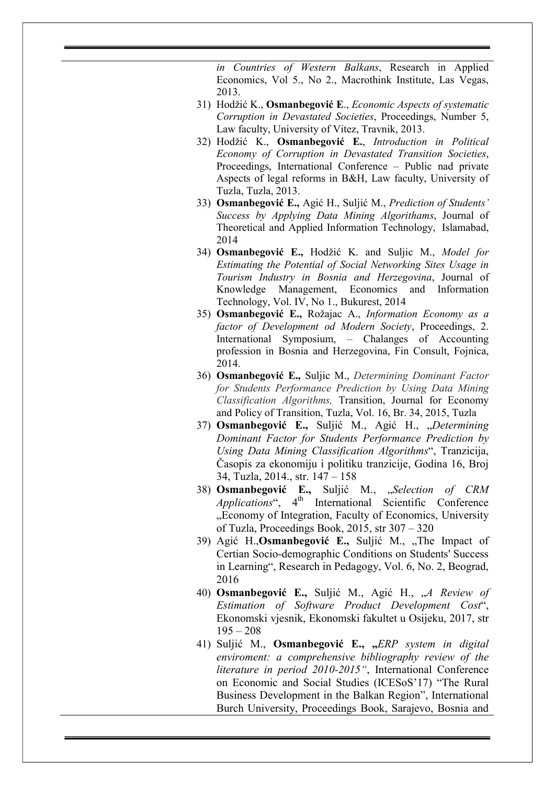in Countries of Western Balkans, Research in Applied Economics, Vol 5., No 2., Macrothink Institute, Las Vegas, 2013.

- 31) Hodžić K., Osmanbegović E., Economic Aspects of systematic Corruption in Devastated Societies, Proceedings, Number 5, Law faculty, University of Vitez, Travnik, 2013.
- 32) Hodžić K., Osmanbegović E., Introduction in Political Economy of Corruption in Devastated Transition Societies, Proceedings, International Conference – Public nad private Aspects of legal reforms in B&H, Law faculty, University of Tuzla, Tuzla, 2013.
- 33) Osmanbegović E., Agić H., Suljić M., Prediction of Students' Success by Applying Data Mining Algorithams, Journal of Theoretical and Applied Information Technology, Islamabad, 2014
- 34) Osmanbegović E., Hodžić K. and Suljic M., Model for Estimating the Potential of Social Networking Sites Usage in Tourism Industry in Bosnia and Herzegovina, Journal of Knowledge Management, Economics and Information Technology, Vol. IV, No 1., Bukurest, 2014
- 35) Osmanbegović E., Rožajac A., Information Economy as a factor of Development od Modern Society, Proceedings, 2. International Symposium, – Chalanges of Accounting profession in Bosnia and Herzegovina, Fin Consult, Fojnica, 2014.
- 36) Osmanbegović E., Suljic M., Determining Dominant Factor for Students Performance Prediction by Using Data Mining Classification Algorithms, Transition, Journal for Economy and Policy of Transition, Tuzla, Vol. 16, Br. 34, 2015, Tuzla
- 37) **Osmanbegović E.,** Suljić M., Agić H., "Determining Dominant Factor for Students Performance Prediction by Using Data Mining Classification Algorithms", Tranzicija, Časopis za ekonomiju i politiku tranzicije, Godina 16, Broj 34, Tuzla, 2014., str. 147 – 158
- 38) Osmanbegović E., Suljić M., "Selection of CRM  $Applications$ ",  $4<sup>th</sup> International Scientific Conference$ ...Economy of Integration, Faculty of Economics, University of Tuzla, Proceedings Book, 2015, str 307 – 320
- 39) Agić H., Osmanbegović E., Suljić M., "The Impact of Certian Socio-demographic Conditions on Students' Success in Learning", Research in Pedagogy, Vol. 6, No. 2, Beograd, 2016
- 40) Osmanbegović E., Suljić M., Agić H., "A Review of Estimation of Software Product Development Cost", Ekonomski vjesnik, Ekonomski fakultet u Osijeku, 2017, str  $195 - 208$
- 41) Suljić M., Osmanbegović E., "ERP system in digital enviroment: a comprehensive bibliography review of the literature in period 2010-2015", International Conference on Economic and Social Studies (ICESoS'17) "The Rural Business Development in the Balkan Region", International Burch University, Proceedings Book, Sarajevo, Bosnia and